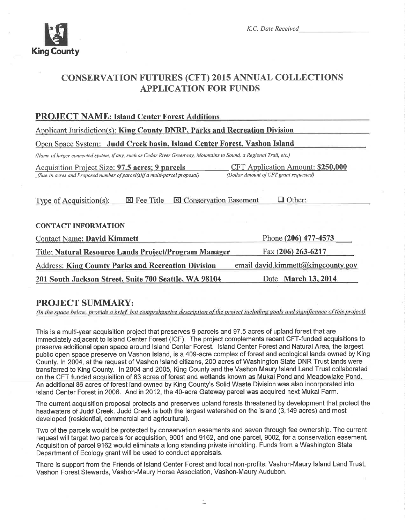

# **CONSERVATION FUTURES (CFT) 2015 ANNUAL COLLECTIONS APPLICATION FOR FUNDS**

| <b>PROJECT NAME: Island Center Forest Additions</b>                                                                            |                                                                                    |  |  |  |  |
|--------------------------------------------------------------------------------------------------------------------------------|------------------------------------------------------------------------------------|--|--|--|--|
| Applicant Jurisdiction(s): King County DNRP, Parks and Recreation Division                                                     |                                                                                    |  |  |  |  |
| Open Space System: Judd Creek basin, Island Center Forest, Vashon Island                                                       |                                                                                    |  |  |  |  |
| (Name of larger connected system, if any, such as Cedar River Greenway, Mountains to Sound, a Regional Trail, etc.)            |                                                                                    |  |  |  |  |
| Acquisition Project Size: 97.5 acres; 9 parcels<br>(Size in acres and Proposed number of parcel(s) if a multi-parcel proposal) | <b>CFT Application Amount: \$250,000</b><br>(Dollar Amount of CFT grant requested) |  |  |  |  |
| <b>⊠ Conservation Easement</b><br>$\Box$ Other:<br>$\boxtimes$ Fee Title<br>Type of Acquisition(s):                            |                                                                                    |  |  |  |  |
| <b>CONTACT INFORMATION</b>                                                                                                     |                                                                                    |  |  |  |  |
| <b>Contact Name: David Kimmett</b>                                                                                             | Phone (206) 477-4573                                                               |  |  |  |  |
| Fax (206) 263-6217<br>Title: Natural Resource Lands Project/Program Manager                                                    |                                                                                    |  |  |  |  |
| <b>Address: King County Parks and Recreation Division</b>                                                                      | email david.kimmett@kingcounty.gov                                                 |  |  |  |  |
| 201 South Jackson Street, Suite 700 Seattle, WA 98104                                                                          | Date March 13, 2014                                                                |  |  |  |  |

# **PROJECT SUMMARY:**

(In the space below, provide a brief, but comprehensive description of the project including goals and significance of this project)

This is a multi-year acquisition project that preserves 9 parcels and 97.5 acres of upland forest that are immediately adjacent to Island Center Forest (ICF). The project complements recent CFT-funded acquisitions to preserve additional open space around Island Center Forest. Island Center Forest and Natural Area, the largest public open space preserve on Vashon Island, is a 409-acre complex of forest and ecological lands owned by King County. In 2004, at the request of Vashon Island citizens, 200 acres of Washington State DNR Trust lands were transferred to King County. In 2004 and 2005, King County and the Vashon Maury Island Land Trust collaborated on the CFT funded acquisition of 83 acres of forest and wetlands known as Mukai Pond and Meadowlake Pond. An additional 86 acres of forest land owned by King County's Solid Waste Division was also incorporated into Island Center Forest in 2006. And in 2012, the 40-acre Gateway parcel was acquired next Mukai Farm.

The current acquisition proposal protects and preserves upland forests threatened by development that protect the headwaters of Judd Creek. Judd Creek is both the largest watershed on the island (3,149 acres) and most developed (residential, commercial and agricultural).

Two of the parcels would be protected by conservation easements and seven through fee ownership. The current request will target two parcels for acquisition, 9001 and 9162, and one parcel, 9002, for a conservation easement. Acquisition of parcel 9162 would eliminate a long standing private inholding. Funds from a Washington State Department of Ecology grant will be used to conduct appraisals.

There is support from the Friends of Island Center Forest and local non-profits: Vashon-Maury Island Land Trust, Vashon Forest Stewards, Vashon-Maury Horse Association, Vashon-Maury Audubon.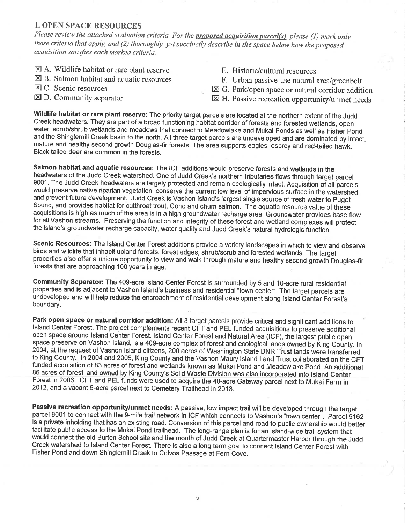#### 1. OPEN SPACE RESOURCES

Please review the attached evaluation criteria. For the **proposed acquisition parcel(s)**, please (1) mark only those criteria that apply, and (2) thoroughly, yet succinctly describe in the space below how the proposed acquisition satisfies each marked criteria.

- $\boxtimes$  A. Wildlife habitat or rare plant reserve
- $\boxtimes$  B. Salmon habitat and aquatic resources
- E C. Scenic resources
- E D. Community separator
- E. Historic/cultural resources
- F. Urban passive-use natural area/greenbelt
- EI G. Park/open space or natural corridor addition
- $\boxtimes$  H. Passive recreation opportunity/unmet needs

Wildlife habitat or rare plant reserve: The priority target parcels are located at the northern extent of the Judd Creek headwaters. They are part of a broad functioning habitat corridor of forests and forested wetlands, open water, scrub/shrub wetlands and meadows that connect to Meadowlake and Mukai Ponds as well as Fisher Pond and the Shinglemill Creek basin to the north. All three target parcels are undeveloped and are dominated by intact, mature and healthy second growth Douglas-fir forests. The area supports eagles, osprey and red-tailed hawk. Black tailed deer are common in the forests.

Salmon habitat and aquatic resources: The ICF additions would preserve forests and wetlands in the headwaters of the Judd Creek watershed. One of Judd Creek's northern tributaries flows through target parcel 9001. The Judd Creek headwaters are largely protected and remain ecologically intact. Acquisition of all parcels would preserve native riparian vegetation, conserve the current low level of impervious surface in the watershed, and prevent future development. Judd Creek is Vashon lsland's largest single source of fresh water to puget Sound, and provides habitat for cutthroat trout, Coho and chum salmon. The aquatic resource value of these acquisitions is high as much of the area is in a high groundwater recharge area. Groundwater provides base flow for all Vashon streams. Preserving the function and integrity of these forest and wetland complexes will protect the island's groundwater recharge capacity, water quality and Judd Creek's natural hydrologic function.

Scenic Resources: The Island Center Forest additions provide a variety landscapes in which to view and observe birds and wildlife that inhabit upland forests, forest edges, shrub/scrub and forested weflands. The target properties also offer a unique opportunity to view and walk through mature and healthy second-growth-Douglas-fir forests that are approaching 100 years in age.

Community Separator: The 409-acre lsland Center Forest is surrounded by 5 and 1O-acre rural resídential properties and is adjacent to Vashon lsland's business and residential "town center". The target parcels are undeveloped and will help reduce the encroachment of residential development along Island Center Forest's boundary.

Park open space or natural corridor addition: All 3 target parcels provide critical and significant additions to lsland Center Forest. The project complements recent CFT and PEL funded acquisitions tó preserve additional open space around Island Center Forest. Island Center Forest and Natural Area (ICF), the largest public open space preserve on Vashon lsland, is a 409-acre complex of forest and ecological lands owned by King County. ln 2004, at the request of Vashon Island citizens, 200 acres of Washington State DNR Trust lands were transferred to King County. In 2004 and 2005, King County and the Vashon Maury Island Land Trust collaborated on the CFT funded acquisition of 83 acres of forest and wetlands known as Mukai Pond and Meadowlake Pond. An additional <sup>86</sup>acres of forest land owned by King County's Solid Waste Division was also incorporated into lsland Center Forest in 2006. CFT and PEL funds were used to acquire the 4O-acre Gateway parcel next to Mukai Farm in 2012, and a vacant S-acre parcel next to Cemetery Trailhead in 2013.

Passive recreation opportunity/unmet needs: A passive, low impact trail will be developed through the target parcel 9001 to connect with the 9-mile trail network in ICF which connects to Vashon's "town center". Parcel 9162 is a private inholding that has an existing road. Conversion of this parcel and road to public ownership would better facilitate public access to the Mukai Pond trailhead. The long-range plan is for an island-wide trail system that would connect the old Burton School site and the mouth of Judd Creek at Quartermaster Harbor through the Judd Creek watershed to Island Center Forest. There is also a long term goal to connect Island Center Forest with Fisher Pond and down Shinglemill Creek to Colvos Passage at Fern Cove.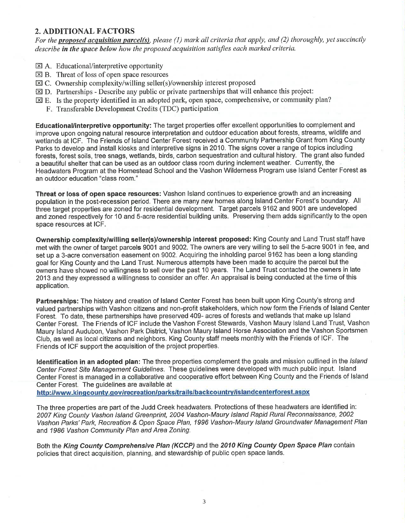### 2. ADDITIONAL FACTORS

For the **proposed acquisition parcel(s)**, please (1) mark all criteria that apply, and (2) thoroughly, yet succinctly describe in the space below how the proposed acquisition satisfies each marked criteria.

- **EXI A.** Educational/interpretive opportunity
- $\boxtimes$  B. Threat of loss of open space resources
- EC. Ownership complexity/willing seller(s)/ownership interest proposed
- $\boxtimes$  D. Partnerships Describe any public or private partnerships that will enhance this project:
- EE. Is the property identified in an adopted park, open space, comprehensive, or community plan?
	- F. Transferable Development Credits (TDC) participation

Educational/interpretive opportunity: The target properties offer excellent opportunities to complement and improve upon ongoing natural resource interpretation and outdoor education about forests, streams, wildlife and wetlands at lCF. The Friends of lsland Center Forest received a Community Partnership Grant from King County Parks to develop and install kiosks and interpretive signs in 2010. The signs cover a range of topics including forests, forest soils, tree snags, wetlands, birds, carbon sequestration and cultural history. The grant also funded a beautiful shelter that can be used as an outdoor class room during inclement weather. Currently, the Headwaters Program at the Homestead School and the Vashon Wilderness Program use lsland Center Forest as an outdoor education "class room."

Threat or loss of open space resources: Vashon lsland continues to experience growth and an increasing population in the post-recession period. There are many new homes along lsland Center Forest's boundary. All three target properties are zoned for residential development. Target parcels 9162 and 9001 are undeveloped and zoned respectively for 10 and 5-acre residential building units. Preserving them adds significantly to the open space resources at lCF.

Ownership complexity/willing seller(s)/ownership interest proposed: King County and Land Trust staff have met with the owner of target parcels 9001 and 9002. The owners are very willing to sell the 5-acre 9001 in fee, and set up a 3-acre conversation easement on 9002. Acquiring the inholding parcel 9162 has been a long standing goal for King County and the Land Trust. Numerous attempts have been made to acquire the parcel but the owners have showed no willingness to sell over the past 10 years. The Land Trust contacted the owners in late 2013 and they expressed a willingness to consider an offer. An appraisal is being conducted at the time of this application.

Partnerships: The history and creation of lsland Center Forest has been built upon King County's strong and valued partnerships with Vashon citizens and non-profit stakeholders, which now form the Friends of lsland Center Forest. To date, these partnerships have preserved 409- acres of forests and wetlands that make up lsland Center Forest. The Friends of ICF include the Vashon Forest Stewards, Vashon Maury lsland Land Trust, Vashon Maury lsland Audubon, Vashon Park District, Vashon Maury lsland Horse Association and the Vashon Sportsmen Club, as well as local citizens and neighbors. King County staff meets monthly with the Friends of lCF. The Friends of ICF support the acquisition of the project properties.

Identification in an adopted plan: The three properties complement the goals and mission outlined in the Island Center Forest Site Management Guidelines. These guidelines were developed with much public input. Island Center Forest is managed in a collaborative and cooperative effort between King County and the Friends of lsland Center Forest. The guidelines are available at an individual character forest.<br>http://www.kingcounty.gov/recreation/parks/trails/backcountry/islandcenterforest.aspx

The three properties are part of the Judd Creek headwaters. Protections of these headwaters are identified in: 2007 King County Vashon Island Greenprint, 2004 Vashon-Maury lsland Rapid Rural Reconnaissance,2002 Vashon Parks' Park, Recreation & Open Space Plan, 1996 Vashon-Maury lsland Groundwater Management PIan and 1986 Vashon Community Plan and Area Zoning.

Both the King County Comprehensive Plan (KCCP) and the 2010 King County Open Space Plan contain policies that direct acquisition, planning, and stewardship of public open space lands.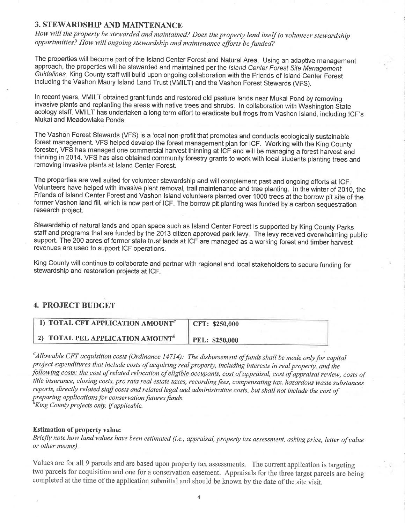## 3. STEWARDSHIP AND MAINTENANCE

How will the property be stewarded and maintained? Does the property lend itself to volunteer stewardship opportunities? How will ongoíng stewardship and maintenance efforts be funded?

The properties will become part of the lsland Center Forest and Natural Area. Using an adaptive management approach, the properties will be stewarded and maintained per the Island Center Forest Site Management Guidelines. King County staff will build upon ongoing collaboration with the Friends of Island Center Forest including the Vashon Maury lsland Land Trust (VMILT) and the Vashon Forest Stewards (VFS).

ln recent years, VMILT obtained grant funds and restored old pasture lands near Mukai pond by removing invasive plants and replanting the areas with native trees and shrubs. In collaboration with Washington State ecology staff, VMILT has undertaken a long term effort to eradicate bull frogs from Vashon Island, including ICF's Mukai and Meadowlake Ponds

The Vashon Forest Stewards (VFS) is a local non-profit that promotes and conducts ecologically sustainable forest management. VFS helped develop the forest management plan for lCF. Working with the King County forester, VFS has managed one commercial harvest thinning at ICF and will be managing a forest harvest and thinning in 2014. VFS has also obtained community forestry grants to work with local students planting trees and removing invasive plants at lsland Center Forest.

The properties are well suited for volunteer stewardship and will complement past and ongoing efforts at lCF. Volunteers have helped with invasive plant removal, trail maintenance and tree planting. In the winter of 2010, the Friends of Island Center Forest and Vashon Island volunteers planted over 1000 trees at the borrow pit site of the former Vashon land fill, which is now part of lCF. The borrow pit planting was funded by a carbon sequestratíon research project.

Stewardship of natural lands and open space such as lsland Center Forest is supported by King County parks staff and programs that are funded by the 2013 citizen approved park levy. The levy received overwhelming public support. The 200 acres of former state trust lands at ICF are managed as a working forest and timber harvest revenues are used to support ICF operations.

King County will continue to collaborate and partner with regional and local stakeholders to secure funding for stewardship and restoration projects at lCF.

## 4. PROJECT BUDGET

| 1) TOTAL CFT APPLICATION AMOUNT <sup>a</sup> | CFT: \$250,000 |
|----------------------------------------------|----------------|
| 2) TOTAL PEL APPLICATION AMOUNT <sup>b</sup> | PEL: \$250,000 |

<sup>a</sup> Allowable CFT acquisition costs (Ordinance 14714): The disbursement of funds shall be made only for capital project expenditures that include costs of acquiring real property, including interests in real property, and the following costs: the cost of related relocation of eligible occupants, cost of appraisal, cost of appraisal review, costs of title insurance, closing costs, pro rata real estate taxes, recording fees, compensating tax, hazardous waste substances reports, directly related staff costs and related legal and administrative costs, but shall not include the cost of preparing applications for conservation futures funds.<br><sup>b</sup>King County projects only, if applicable.

#### Estimation of property value:

Briefly note how land values have been estimated (i.e., appraisal, property tax assessment, asking price, letter of value or other means).

Values are for all 9 parcels and are based upon property tax assessments. The current application is targeting two parcels for acquisition and one for a conseryation easement. Appraisals for the three target parcels are being completed at the time of the application submittal and should be known by the date of the site visit.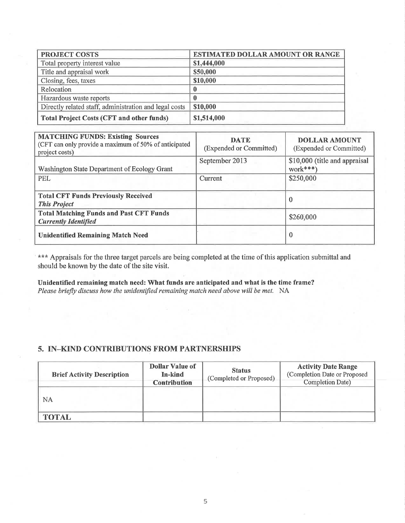| <b>PROJECT COSTS</b>                                   | <b>ESTIMATED DOLLAR AMOUNT OR RANGE</b> |
|--------------------------------------------------------|-----------------------------------------|
| Total property interest value                          | \$1,444,000                             |
| Title and appraisal work                               | \$50,000                                |
| Closing, fees, taxes                                   | \$10,000                                |
| Relocation                                             |                                         |
| Hazardous waste reports                                |                                         |
| Directly related staff, administration and legal costs | \$10,000                                |
| <b>Total Project Costs (CFT and other funds)</b>       | \$1,514,000                             |

| <b>MATCHING FUNDS: Existing Sources</b><br>(CFT can only provide a maximum of 50% of anticipated<br>project costs) | <b>DATE</b><br>(Expended or Committed) | <b>DOLLAR AMOUNT</b><br>(Expended or Committed) |
|--------------------------------------------------------------------------------------------------------------------|----------------------------------------|-------------------------------------------------|
| Washington State Department of Ecology Grant                                                                       | September 2013                         | \$10,000 (title and appraisal<br>$work***$      |
| <b>PEL</b>                                                                                                         | Current                                | \$250,000                                       |
| <b>Total CFT Funds Previously Received</b><br><b>This Project</b>                                                  |                                        | 0                                               |
| <b>Total Matching Funds and Past CFT Funds</b><br><b>Currently Identified</b>                                      |                                        | \$260,000                                       |
| <b>Unidentified Remaining Match Need</b>                                                                           |                                        | $\bf{0}$                                        |

\*\*\* Appraisals for the three target parcels are being completed at the time of this application submittal and should be known by the date of the site visit.

Unidentified remaining match need: What funds are anticipated and what is the time frame? Please briefly discuss how the unidentified remainíng match need above will be met. NA

# 5. IN\_KIND CONTRIBUTIONS FROM PARTNERSHIPS

| <b>Brief Activity Description</b> | Dollar Value of<br>In-kind<br><b>Contribution</b> | <b>Status</b><br>(Completed or Proposed) | <b>Activity Date Range</b><br>(Completion Date or Proposed<br><b>Completion Date)</b> |
|-----------------------------------|---------------------------------------------------|------------------------------------------|---------------------------------------------------------------------------------------|
| <b>NA</b>                         |                                                   |                                          |                                                                                       |
| <b>TOTAL</b>                      |                                                   |                                          |                                                                                       |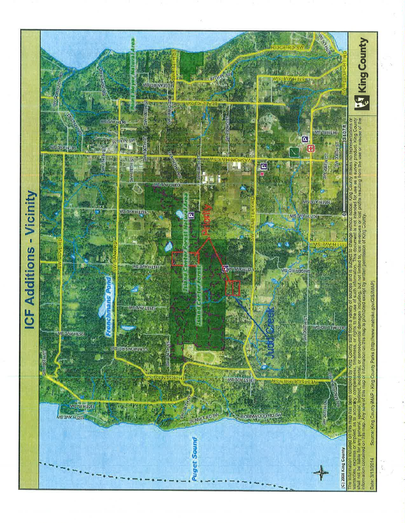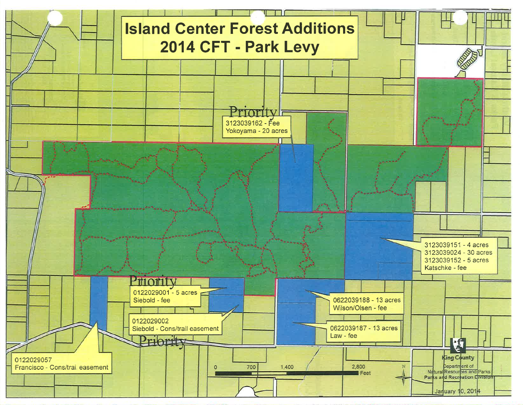